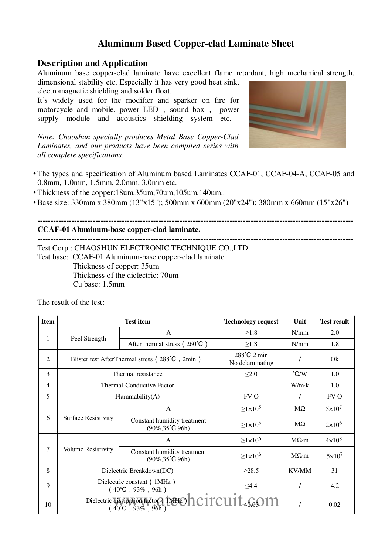## **Aluminum Based Copper-clad Laminate Sheet**

### **Description and Application**

Aluminum base copper-clad laminate have excellent flame retardant, high mechanical strength,

dimensional stability etc. Especially it has very good heat sink, electromagnetic shielding and solder float.

It's widely used for the modifier and sparker on fire for motorcycle and mobile, power LED , sound box , power supply module and acoustics shielding system etc.

*Note: Chaoshun specially produces Metal Base Copper-Clad Laminates, and our products have been compiled series with all complete specifications.*



**------------------------------------------------------------------------------------------------------------------------**

- The types and specification of Aluminum based Laminates CCAF-01, CCAF-04-A, CCAF-05 and 0.8mm, 1.0mm, 1.5mm, 2.0mm, 3.0mm etc.
- Thickness of the copper:18um,35um,70um,105um,140um..
- •Base size: 330mm x 380mm (13"x15"); 500mm x 600mm (20"x24"); 380mm x 660mm (15"x26")

**------------------------------------------------------------------------------------------------------------------------**

#### **CCAF-01 Aluminum-base copper-clad laminate.**

Test Corp.: CHAOSHUN ELECTRONIC TECHNIQUE CO.,LTD Test base: CCAF-01 Aluminum-base copper-clad laminate Thickness of copper: 35um Thickness of the diclectric: 70um

Cu base: 1.5mm

| <b>Item</b>    | <b>Test item</b>                                                    |                                                                  | <b>Technology request</b>      | Unit              | <b>Test result</b> |
|----------------|---------------------------------------------------------------------|------------------------------------------------------------------|--------------------------------|-------------------|--------------------|
| 1              | Peel Strength                                                       | A                                                                | $\geq$ 1.8                     | N/mm              | 2.0                |
|                |                                                                     | After thermal stress $(260^{\circ}\text{C})$                     | $\geq 1.8$                     | N/mm              | 1.8                |
| 2              | Blister test AfterThermal stress (288°C, 2min)                      |                                                                  | 288°C 2 min<br>No delaminating |                   | Qk                 |
| 3              | Thermal resistance                                                  |                                                                  | $\leq 2.0$                     | $\degree$ C/W     | 1.0                |
| $\overline{4}$ | Thermal-Conductive Factor                                           |                                                                  |                                | $W/m \cdot k$     | 1.0                |
| 5              | Flammablity(A)                                                      |                                                                  | $FV-O$                         |                   | $FV-O$             |
| 6              | Surface Resistivity                                                 | $\mathsf{A}$                                                     | $\geq$ 1×10 <sup>5</sup>       | $M\Omega$         | $5\times10^7$      |
|                |                                                                     | Constant humidity treatment<br>$(90\%, 35^{\circ}\text{C}, 96h)$ | $\geq$ 1×10 <sup>5</sup>       | $M\Omega$         | $2\times10^6$      |
| 7              | <b>Volume Resistivity</b>                                           | $\mathsf{A}$                                                     | $\geq$ 1×10 <sup>6</sup>       | $M\Omega \cdot m$ | $4\times10^8$      |
|                |                                                                     | Constant humidity treatment<br>$(90\%, 35^{\circ}C, 96h)$        | $\geq$ 1×10 <sup>6</sup>       | $M\Omega \cdot m$ | $5 \times 10^7$    |
| 8              | Dielectric Breakdown(DC)                                            |                                                                  | $\geq 28.5$                    | KV/MM             | 31                 |
| 9              | Dielectric constant (1MHz)<br>$(40^{\circ}\text{C}$ , 93%, 96h)     |                                                                  | $\leq 4.4$                     |                   | 4.2                |
| 10             | Dielectric dissipation Factor (MEDICITCUIL 660M<br>(40°C, 93%, 96h) |                                                                  |                                |                   | 0.02               |

The result of the test: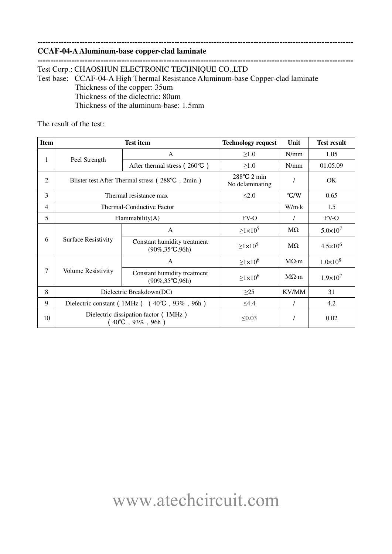#### **CCAF-04-A Aluminum-base copper-clad laminate**

**------------------------------------------------------------------------------------------------------------------------** Test Corp.: CHAOSHUN ELECTRONIC TECHNIQUE CO.,LTD Test base: CCAF-04-A High Thermal Resistance Aluminum-base Copper-clad laminate Thickness of the copper: 35um Thickness of the diclectric: 80um Thickness of the aluminum-base: 1.5mm

**------------------------------------------------------------------------------------------------------------------------**

The result of the test:

| <b>Item</b> | <b>Test item</b>                                                          |                                                                  | <b>Technology request</b>      | Unit              | <b>Test result</b>  |
|-------------|---------------------------------------------------------------------------|------------------------------------------------------------------|--------------------------------|-------------------|---------------------|
| 1           | Peel Strength                                                             | A                                                                | $\geq 1.0$                     | N/mm              | 1.05                |
|             |                                                                           | After thermal stress $(260^{\circ}\text{C})$                     | $\geq 1.0$                     | N/mm              | 01.05.09            |
| 2           | Blister test After Thermal stress (288°C, 2min)                           |                                                                  | 288°C 2 min<br>No delaminating |                   | OK.                 |
| 3           | Thermal resistance max                                                    |                                                                  | $\leq 2.0$                     | $\mathrm{C/W}$    | 0.65                |
| 4           | Thermal-Conductive Factor                                                 |                                                                  |                                | W/m k             | 1.5                 |
| 5           | Flammability(A)                                                           |                                                                  | FV-O                           |                   | $FV-O$              |
| 6           | <b>Surface Resistivity</b>                                                | $\mathsf{A}$                                                     | $\geq$ 1×10 <sup>5</sup>       | $M\Omega$         | $5.0 \times 10^7$   |
|             |                                                                           | Constant humidity treatment<br>$(90\%, 35^{\circ}\text{C}, 96h)$ | $\geq$ 1×10 <sup>5</sup>       | $M\Omega$         | $4.5 \times 10^{6}$ |
| 7           | Volume Resistivity                                                        | $\mathsf{A}$                                                     | $\geq$ 1×10 <sup>6</sup>       | $M\Omega \cdot m$ | $1.0 \times 10^8$   |
|             |                                                                           | Constant humidity treatment<br>$(90\%, 35^{\circ}\text{C}, 96h)$ | $\geq$ 1×10 <sup>6</sup>       | $M\Omega \cdot m$ | $1.9 \times 10^{7}$ |
| 8           | Dielectric Breakdown(DC)                                                  |                                                                  | $\geq$ 25                      | KV/MM             | 31                  |
| 9           | Dielectric constant (1MHz) $(40^{\circ}\text{C}$ , 93%, 96h)              |                                                                  | $\leq 4.4$                     |                   | 4.2                 |
| 10          | Dielectric dissipation factor (1MHz)<br>$(40^{\circ}\text{C}$ , 93%, 96h) |                                                                  | $\leq 0.03$                    |                   | 0.02                |

# www.atechcircuit.com